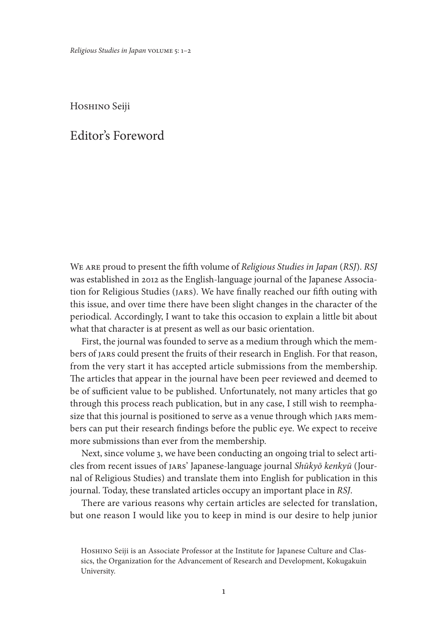Hoshino Seiji

## Editor's Foreword

We are proud to present the fifth volume of *Religious Studies in Japan* (*RSJ*). *RSJ* was established in 2012 as the English-language journal of the Japanese Association for Religious Studies (JARS). We have finally reached our fifth outing with this issue, and over time there have been slight changes in the character of the periodical. Accordingly, I want to take this occasion to explain a little bit about what that character is at present as well as our basic orientation.

First, the journal was founded to serve as a medium through which the members of JARS could present the fruits of their research in English. For that reason, from the very start it has accepted article submissions from the membership. The articles that appear in the journal have been peer reviewed and deemed to be of sufficient value to be published. Unfortunately, not many articles that go through this process reach publication, but in any case, I still wish to reemphasize that this journal is positioned to serve as a venue through which JARS members can put their research findings before the public eye. We expect to receive more submissions than ever from the membership.

Next, since volume 3, we have been conducting an ongoing trial to select articles from recent issues of JARS' Japanese-language journal *Shūkyō kenkyū* (Journal of Religious Studies) and translate them into English for publication in this journal. Today, these translated articles occupy an important place in *RSJ*.

There are various reasons why certain articles are selected for translation, but one reason I would like you to keep in mind is our desire to help junior

HOSHINO Seiji is an Associate Professor at the Institute for Japanese Culture and Classics, the Organization for the Advancement of Research and Development, Kokugakuin University.